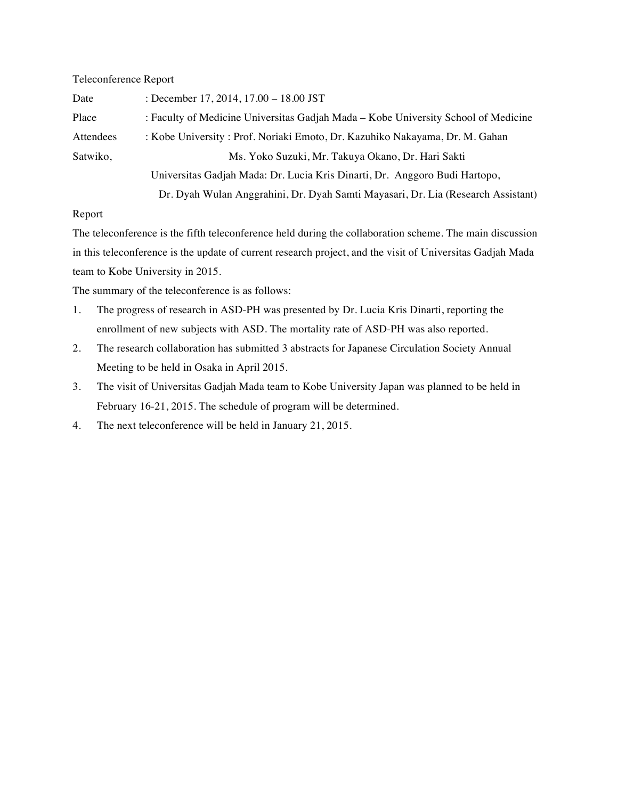## Teleconference Report

| Date      | : December 17, 2014, $17.00 - 18.00$ JST                                           |
|-----------|------------------------------------------------------------------------------------|
| Place     | : Faculty of Medicine Universitas Gadjah Mada – Kobe University School of Medicine |
| Attendees | : Kobe University : Prof. Noriaki Emoto, Dr. Kazuhiko Nakayama, Dr. M. Gahan       |
| Satwiko,  | Ms. Yoko Suzuki, Mr. Takuya Okano, Dr. Hari Sakti                                  |
|           | Universitas Gadjah Mada: Dr. Lucia Kris Dinarti, Dr. Anggoro Budi Hartopo,         |
|           | Dr. Dyah Wulan Anggrahini, Dr. Dyah Samti Mayasari, Dr. Lia (Research Assistant)   |

## Report

The teleconference is the fifth teleconference held during the collaboration scheme. The main discussion in this teleconference is the update of current research project, and the visit of Universitas Gadjah Mada team to Kobe University in 2015.

The summary of the teleconference is as follows:

- 1. The progress of research in ASD-PH was presented by Dr. Lucia Kris Dinarti, reporting the enrollment of new subjects with ASD. The mortality rate of ASD-PH was also reported.
- 2. The research collaboration has submitted 3 abstracts for Japanese Circulation Society Annual Meeting to be held in Osaka in April 2015.
- 3. The visit of Universitas Gadjah Mada team to Kobe University Japan was planned to be held in February 16-21, 2015. The schedule of program will be determined.
- 4. The next teleconference will be held in January 21, 2015.